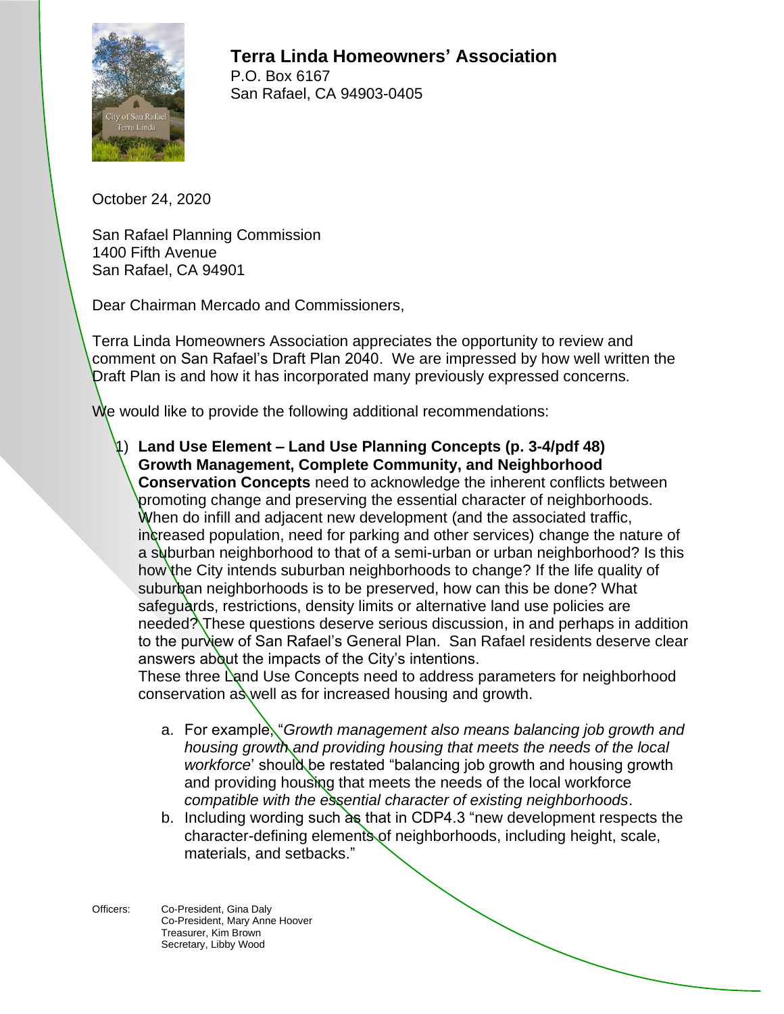

**Terra Linda Homeowners' Association** P.O. Box 6167 San Rafael, CA 94903-0405

October 24, 2020

San Rafael Planning Commission 1400 Fifth Avenue San Rafael, CA 94901

Dear Chairman Mercado and Commissioners,

Terra Linda Homeowners Association appreciates the opportunity to review and comment on San Rafael's Draft Plan 2040. We are impressed by how well written the Draft Plan is and how it has incorporated many previously expressed concerns.

We would like to provide the following additional recommendations:

1) **Land Use Element – Land Use Planning Concepts (p. 3-4/pdf 48) Growth Management, Complete Community, and Neighborhood Conservation Concepts** need to acknowledge the inherent conflicts between promoting change and preserving the essential character of neighborhoods. When do infill and adjacent new development (and the associated traffic, increased population, need for parking and other services) change the nature of a suburban neighborhood to that of a semi-urban or urban neighborhood? Is this how the City intends suburban neighborhoods to change? If the life quality of suburban neighborhoods is to be preserved, how can this be done? What safeguards, restrictions, density limits or alternative land use policies are needed? These questions deserve serious discussion, in and perhaps in addition to the purview of San Rafael's General Plan. San Rafael residents deserve clear answers about the impacts of the City's intentions.

These three Land Use Concepts need to address parameters for neighborhood conservation  $a\hat{s}$  well as for increased housing and growth.

- a. For example, "*Growth management also means balancing job growth and housing growth and providing housing that meets the needs of the local*  workforce' should be restated "balancing job growth and housing growth and providing housing that meets the needs of the local workforce *compatible with the essential character of existing neighborhoods*.
- b. Including wording such  $\overline{\text{d}}\text{s}$  that in CDP4.3 "new development respects the character-defining elements of neighborhoods, including height, scale, materials, and setbacks."
- Officers: Co-President, Gina Daly Co-President, Mary Anne Hoover Treasurer, Kim Brown Secretary, Libby Wood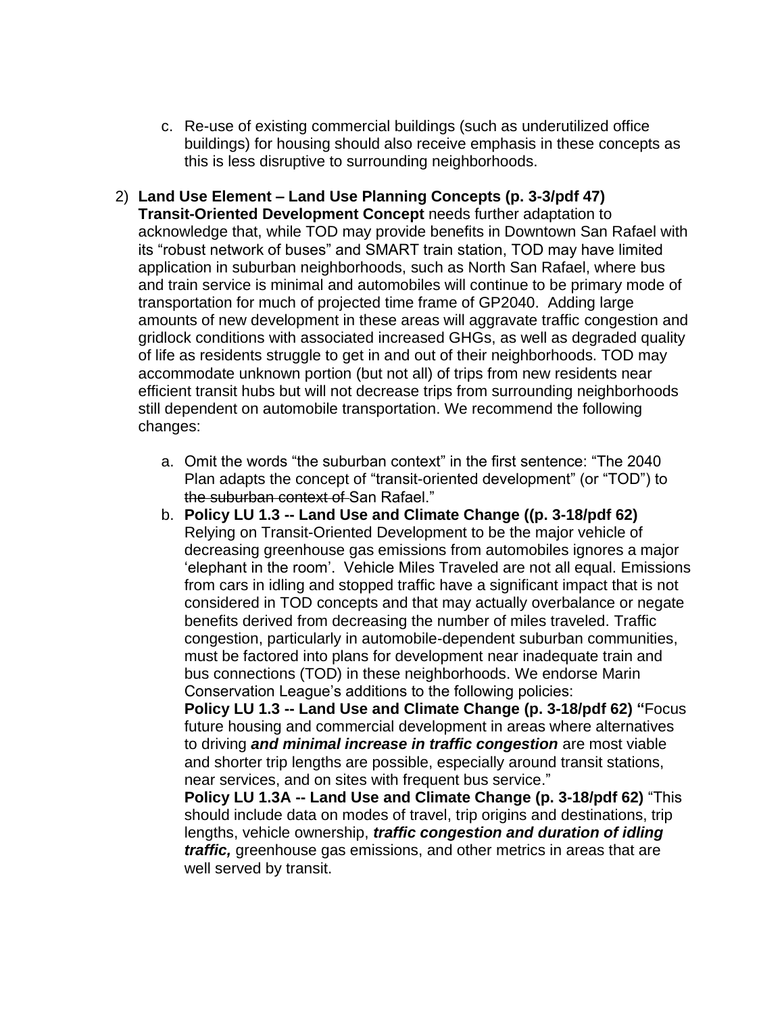- c. Re-use of existing commercial buildings (such as underutilized office buildings) for housing should also receive emphasis in these concepts as this is less disruptive to surrounding neighborhoods.
- 2) **Land Use Element – Land Use Planning Concepts (p. 3-3/pdf 47) Transit-Oriented Development Concept** needs further adaptation to acknowledge that, while TOD may provide benefits in Downtown San Rafael with its "robust network of buses" and SMART train station, TOD may have limited application in suburban neighborhoods, such as North San Rafael, where bus and train service is minimal and automobiles will continue to be primary mode of transportation for much of projected time frame of GP2040. Adding large amounts of new development in these areas will aggravate traffic congestion and gridlock conditions with associated increased GHGs, as well as degraded quality of life as residents struggle to get in and out of their neighborhoods. TOD may accommodate unknown portion (but not all) of trips from new residents near efficient transit hubs but will not decrease trips from surrounding neighborhoods still dependent on automobile transportation. We recommend the following changes:
	- a. Omit the words "the suburban context" in the first sentence: "The 2040 Plan adapts the concept of "transit-oriented development" (or "TOD") to the suburban context of San Rafael."
	- b. **Policy LU 1.3 -- Land Use and Climate Change ((p. 3-18/pdf 62)** Relying on Transit-Oriented Development to be the major vehicle of decreasing greenhouse gas emissions from automobiles ignores a major 'elephant in the room'. Vehicle Miles Traveled are not all equal. Emissions from cars in idling and stopped traffic have a significant impact that is not considered in TOD concepts and that may actually overbalance or negate benefits derived from decreasing the number of miles traveled. Traffic congestion, particularly in automobile-dependent suburban communities, must be factored into plans for development near inadequate train and bus connections (TOD) in these neighborhoods. We endorse Marin Conservation League's additions to the following policies:

**Policy LU 1.3 -- Land Use and Climate Change (p. 3-18/pdf 62) "**Focus future housing and commercial development in areas where alternatives to driving *and minimal increase in traffic congestion* are most viable and shorter trip lengths are possible, especially around transit stations, near services, and on sites with frequent bus service."

**Policy LU 1.3A -- Land Use and Climate Change (p. 3-18/pdf 62)** "This should include data on modes of travel, trip origins and destinations, trip lengths, vehicle ownership, *traffic congestion and duration of idling traffic,* greenhouse gas emissions, and other metrics in areas that are well served by transit.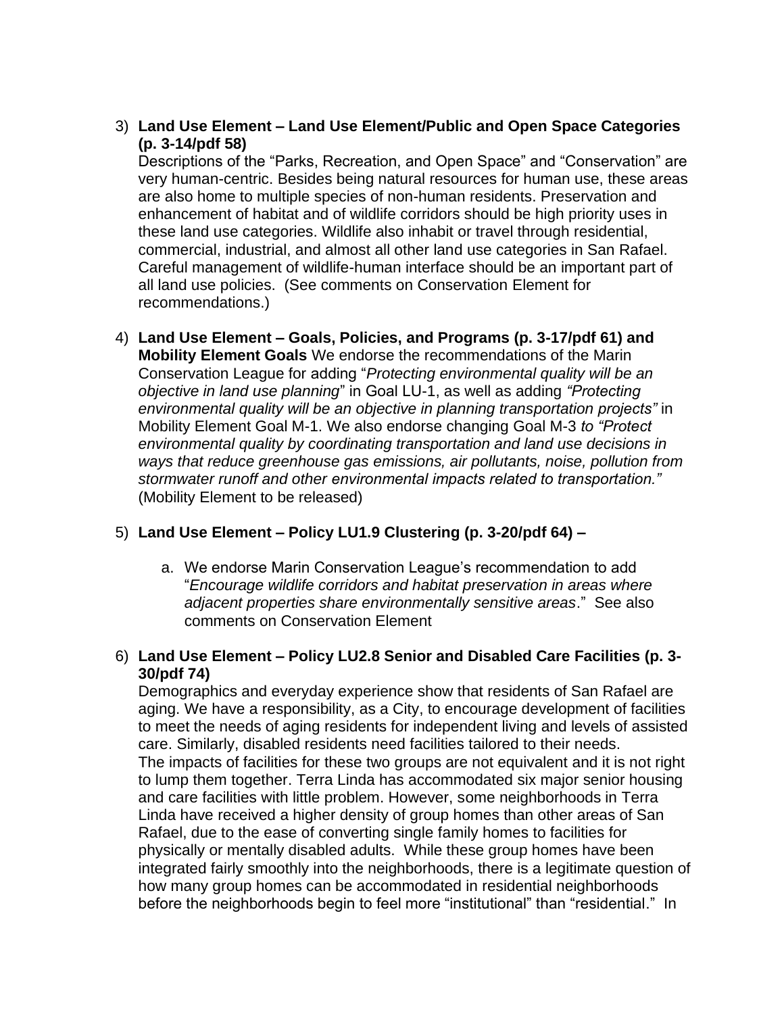3) **Land Use Element – Land Use Element/Public and Open Space Categories (p. 3-14/pdf 58)**

Descriptions of the "Parks, Recreation, and Open Space" and "Conservation" are very human-centric. Besides being natural resources for human use, these areas are also home to multiple species of non-human residents. Preservation and enhancement of habitat and of wildlife corridors should be high priority uses in these land use categories. Wildlife also inhabit or travel through residential, commercial, industrial, and almost all other land use categories in San Rafael. Careful management of wildlife-human interface should be an important part of all land use policies. (See comments on Conservation Element for recommendations.)

4) **Land Use Element – Goals, Policies, and Programs (p. 3-17/pdf 61) and Mobility Element Goals** We endorse the recommendations of the Marin Conservation League for adding "*Protecting environmental quality will be an objective in land use planning*" in Goal LU-1, as well as adding *"Protecting environmental quality will be an objective in planning transportation projects"* in Mobility Element Goal M-1. We also endorse changing Goal M-3 *to "Protect environmental quality by coordinating transportation and land use decisions in ways that reduce greenhouse gas emissions, air pollutants, noise, pollution from stormwater runoff and other environmental impacts related to transportation."*  (Mobility Element to be released)

# 5) **Land Use Element – Policy LU1.9 Clustering (p. 3-20/pdf 64) –**

- a. We endorse Marin Conservation League's recommendation to add "*Encourage wildlife corridors and habitat preservation in areas where adjacent properties share environmentally sensitive areas*." See also comments on Conservation Element
- 6) **Land Use Element – Policy LU2.8 Senior and Disabled Care Facilities (p. 3- 30/pdf 74)**

Demographics and everyday experience show that residents of San Rafael are aging. We have a responsibility, as a City, to encourage development of facilities to meet the needs of aging residents for independent living and levels of assisted care. Similarly, disabled residents need facilities tailored to their needs. The impacts of facilities for these two groups are not equivalent and it is not right to lump them together. Terra Linda has accommodated six major senior housing and care facilities with little problem. However, some neighborhoods in Terra Linda have received a higher density of group homes than other areas of San Rafael, due to the ease of converting single family homes to facilities for physically or mentally disabled adults. While these group homes have been integrated fairly smoothly into the neighborhoods, there is a legitimate question of how many group homes can be accommodated in residential neighborhoods before the neighborhoods begin to feel more "institutional" than "residential." In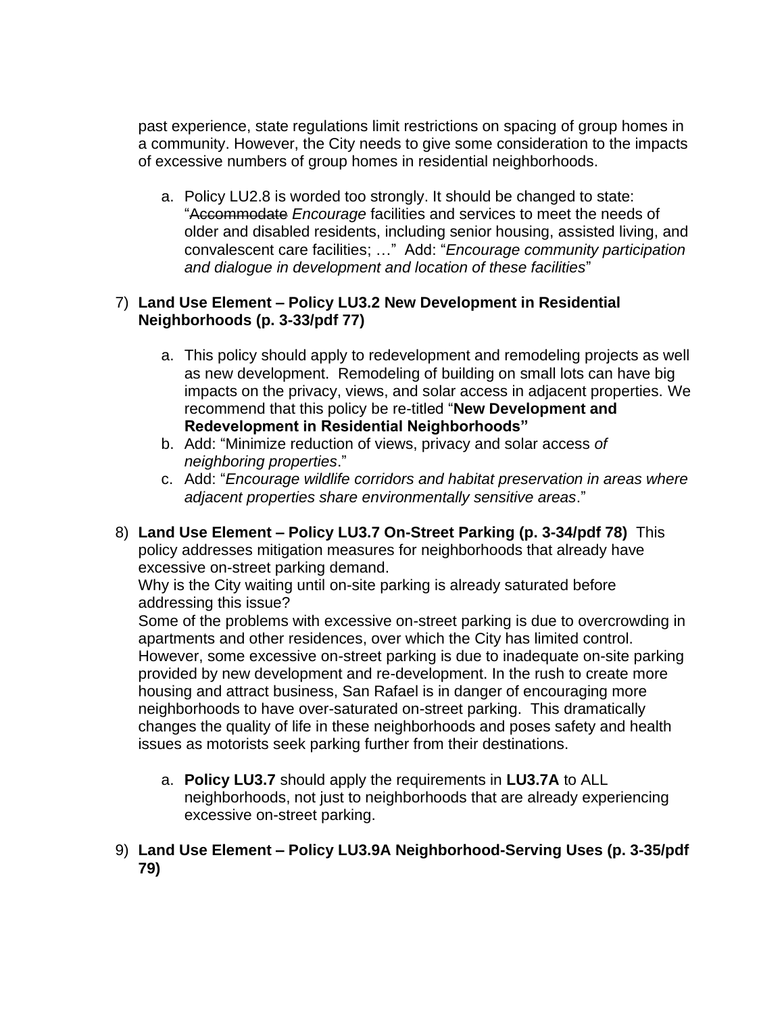past experience, state regulations limit restrictions on spacing of group homes in a community. However, the City needs to give some consideration to the impacts of excessive numbers of group homes in residential neighborhoods.

a. Policy LU2.8 is worded too strongly. It should be changed to state: "Accommodate *Encourage* facilities and services to meet the needs of older and disabled residents, including senior housing, assisted living, and convalescent care facilities; …" Add: "*Encourage community participation and dialogue in development and location of these facilities*"

### 7) **Land Use Element – Policy LU3.2 New Development in Residential Neighborhoods (p. 3-33/pdf 77)**

- a. This policy should apply to redevelopment and remodeling projects as well as new development. Remodeling of building on small lots can have big impacts on the privacy, views, and solar access in adjacent properties. We recommend that this policy be re-titled "**New Development and Redevelopment in Residential Neighborhoods"**
- b. Add: "Minimize reduction of views, privacy and solar access *of neighboring properties*."
- c. Add: "*Encourage wildlife corridors and habitat preservation in areas where adjacent properties share environmentally sensitive areas*."
- 8) **Land Use Element – Policy LU3.7 On-Street Parking (p. 3-34/pdf 78)** This policy addresses mitigation measures for neighborhoods that already have excessive on-street parking demand.

Why is the City waiting until on-site parking is already saturated before addressing this issue?

Some of the problems with excessive on-street parking is due to overcrowding in apartments and other residences, over which the City has limited control. However, some excessive on-street parking is due to inadequate on-site parking provided by new development and re-development. In the rush to create more housing and attract business, San Rafael is in danger of encouraging more neighborhoods to have over-saturated on-street parking. This dramatically changes the quality of life in these neighborhoods and poses safety and health issues as motorists seek parking further from their destinations.

- a. **Policy LU3.7** should apply the requirements in **LU3.7A** to ALL neighborhoods, not just to neighborhoods that are already experiencing excessive on-street parking.
- 9) **Land Use Element – Policy LU3.9A Neighborhood-Serving Uses (p. 3-35/pdf 79)**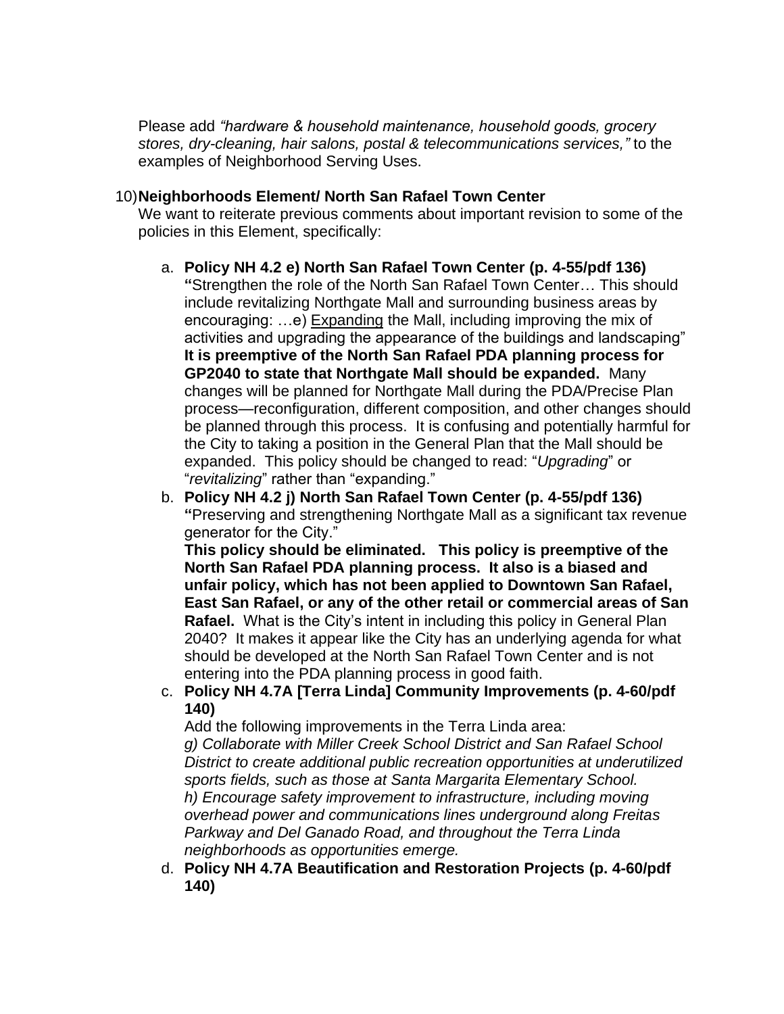Please add *"hardware & household maintenance, household goods, grocery stores, dry-cleaning, hair salons, postal & telecommunications services,"* to the examples of Neighborhood Serving Uses.

### 10)**Neighborhoods Element/ North San Rafael Town Center**

We want to reiterate previous comments about important revision to some of the policies in this Element, specifically:

- a. **Policy NH 4.2 e) North San Rafael Town Center (p. 4-55/pdf 136) "**Strengthen the role of the North San Rafael Town Center… This should include revitalizing Northgate Mall and surrounding business areas by encouraging: …e) Expanding the Mall, including improving the mix of activities and upgrading the appearance of the buildings and landscaping" **It is preemptive of the North San Rafael PDA planning process for GP2040 to state that Northgate Mall should be expanded.** Many changes will be planned for Northgate Mall during the PDA/Precise Plan process—reconfiguration, different composition, and other changes should be planned through this process. It is confusing and potentially harmful for the City to taking a position in the General Plan that the Mall should be expanded. This policy should be changed to read: "*Upgrading*" or "*revitalizing*" rather than "expanding."
- b. **Policy NH 4.2 j) North San Rafael Town Center (p. 4-55/pdf 136) "**Preserving and strengthening Northgate Mall as a significant tax revenue generator for the City."

**This policy should be eliminated. This policy is preemptive of the North San Rafael PDA planning process. It also is a biased and unfair policy, which has not been applied to Downtown San Rafael, East San Rafael, or any of the other retail or commercial areas of San Rafael.** What is the City's intent in including this policy in General Plan 2040? It makes it appear like the City has an underlying agenda for what should be developed at the North San Rafael Town Center and is not entering into the PDA planning process in good faith.

c. **Policy NH 4.7A [Terra Linda] Community Improvements (p. 4-60/pdf 140)**

Add the following improvements in the Terra Linda area:

*g) Collaborate with Miller Creek School District and San Rafael School District to create additional public recreation opportunities at underutilized sports fields, such as those at Santa Margarita Elementary School. h) Encourage safety improvement to infrastructure, including moving overhead power and communications lines underground along Freitas Parkway and Del Ganado Road, and throughout the Terra Linda neighborhoods as opportunities emerge.*

d. **Policy NH 4.7A Beautification and Restoration Projects (p. 4-60/pdf 140)**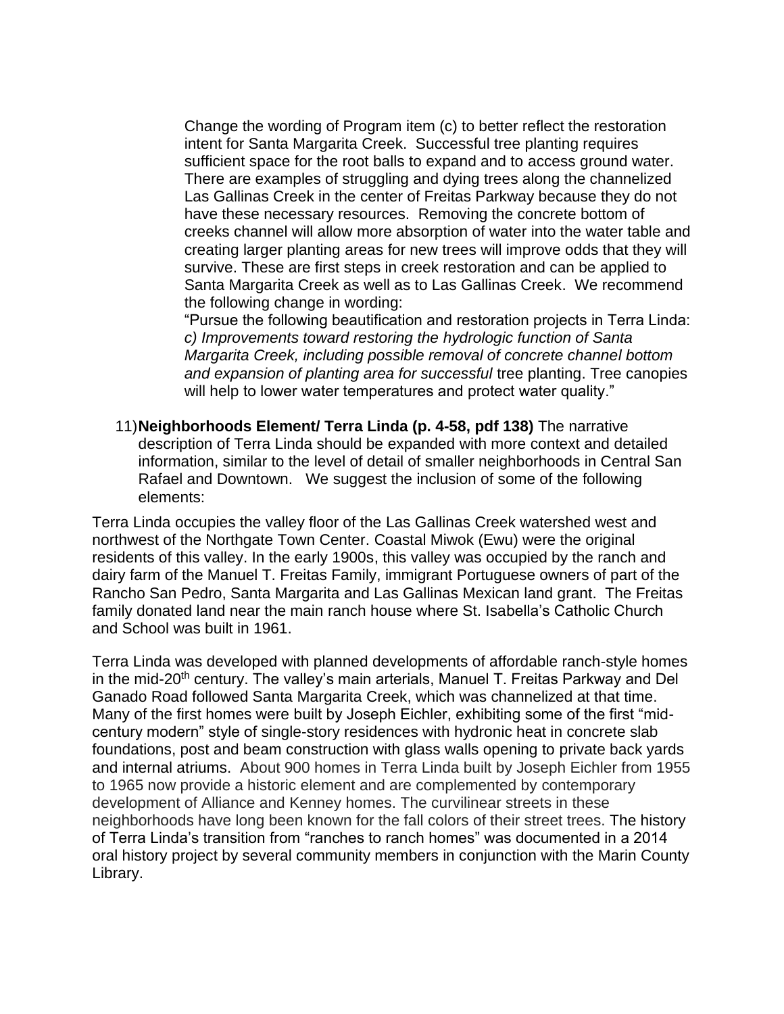Change the wording of Program item (c) to better reflect the restoration intent for Santa Margarita Creek. Successful tree planting requires sufficient space for the root balls to expand and to access ground water. There are examples of struggling and dying trees along the channelized Las Gallinas Creek in the center of Freitas Parkway because they do not have these necessary resources. Removing the concrete bottom of creeks channel will allow more absorption of water into the water table and creating larger planting areas for new trees will improve odds that they will survive. These are first steps in creek restoration and can be applied to Santa Margarita Creek as well as to Las Gallinas Creek. We recommend the following change in wording:

"Pursue the following beautification and restoration projects in Terra Linda: *c) Improvements toward restoring the hydrologic function of Santa Margarita Creek, including possible removal of concrete channel bottom and expansion of planting area for successful* tree planting. Tree canopies will help to lower water temperatures and protect water quality."

11)**Neighborhoods Element/ Terra Linda (p. 4-58, pdf 138)** The narrative description of Terra Linda should be expanded with more context and detailed information, similar to the level of detail of smaller neighborhoods in Central San Rafael and Downtown. We suggest the inclusion of some of the following elements:

Terra Linda occupies the valley floor of the Las Gallinas Creek watershed west and northwest of the Northgate Town Center. Coastal Miwok (Ewu) were the original residents of this valley. In the early 1900s, this valley was occupied by the ranch and dairy farm of the Manuel T. Freitas Family, immigrant Portuguese owners of part of the Rancho San Pedro, Santa Margarita and Las Gallinas Mexican land grant. The Freitas family donated land near the main ranch house where St. Isabella's Catholic Church and School was built in 1961.

Terra Linda was developed with planned developments of affordable ranch-style homes in the mid-20<sup>th</sup> century. The valley's main arterials, Manuel T. Freitas Parkway and Del Ganado Road followed Santa Margarita Creek, which was channelized at that time. Many of the first homes were built by Joseph Eichler, exhibiting some of the first "midcentury modern" style of single-story residences with hydronic heat in concrete slab foundations, post and beam construction with glass walls opening to private back yards and internal atriums. About 900 homes in Terra Linda built by Joseph Eichler from 1955 to 1965 now provide a historic element and are complemented by contemporary development of Alliance and Kenney homes. The curvilinear streets in these neighborhoods have long been known for the fall colors of their street trees. The history of Terra Linda's transition from "ranches to ranch homes" was documented in a 2014 oral history project by several community members in conjunction with the Marin County Library.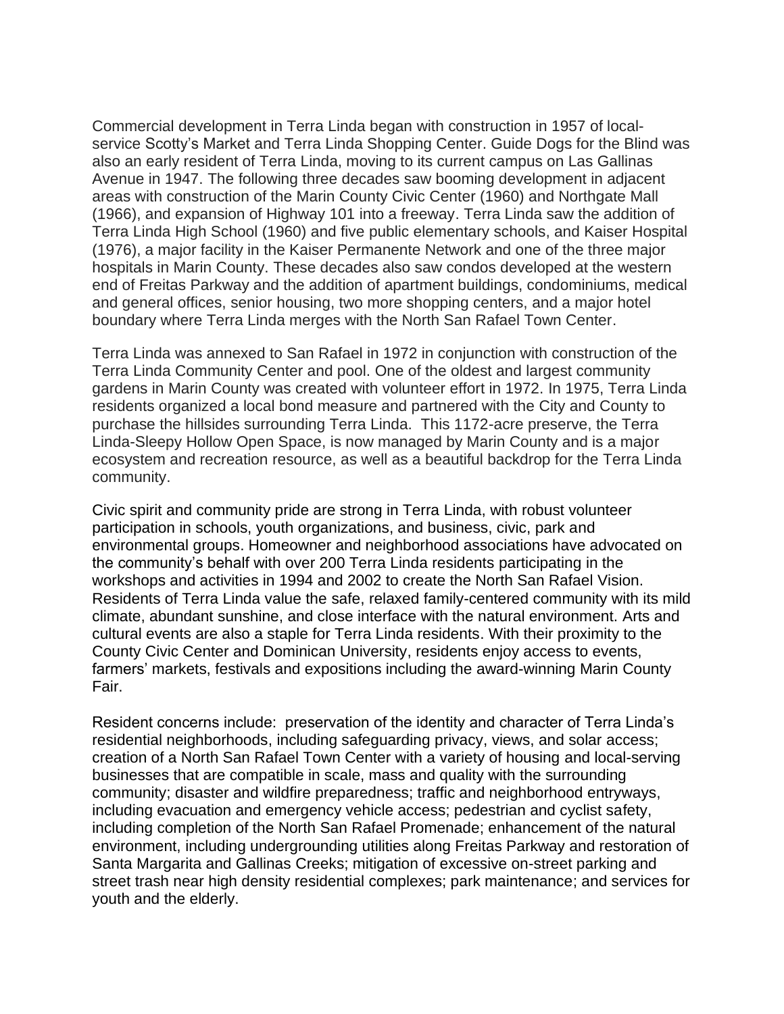Commercial development in Terra Linda began with construction in 1957 of localservice Scotty's Market and Terra Linda Shopping Center. Guide Dogs for the Blind was also an early resident of Terra Linda, moving to its current campus on Las Gallinas Avenue in 1947. The following three decades saw booming development in adjacent areas with construction of the Marin County Civic Center (1960) and Northgate Mall (1966), and expansion of Highway 101 into a freeway. Terra Linda saw the addition of Terra Linda High School (1960) and five public elementary schools, and Kaiser Hospital (1976), a major facility in the Kaiser Permanente Network and one of the three major hospitals in Marin County. These decades also saw condos developed at the western end of Freitas Parkway and the addition of apartment buildings, condominiums, medical and general offices, senior housing, two more shopping centers, and a major hotel boundary where Terra Linda merges with the North San Rafael Town Center.

Terra Linda was annexed to San Rafael in 1972 in conjunction with construction of the Terra Linda Community Center and pool. One of the oldest and largest community gardens in Marin County was created with volunteer effort in 1972. In 1975, Terra Linda residents organized a local bond measure and partnered with the City and County to purchase the hillsides surrounding Terra Linda. This 1172-acre preserve, the Terra Linda-Sleepy Hollow Open Space, is now managed by Marin County and is a major ecosystem and recreation resource, as well as a beautiful backdrop for the Terra Linda community.

Civic spirit and community pride are strong in Terra Linda, with robust volunteer participation in schools, youth organizations, and business, civic, park and environmental groups. Homeowner and neighborhood associations have advocated on the community's behalf with over 200 Terra Linda residents participating in the workshops and activities in 1994 and 2002 to create the North San Rafael Vision. Residents of Terra Linda value the safe, relaxed family-centered community with its mild climate, abundant sunshine, and close interface with the natural environment. Arts and cultural events are also a staple for Terra Linda residents. With their proximity to the County Civic Center and Dominican University, residents enjoy access to events, farmers' markets, festivals and expositions including the award-winning Marin County Fair.

Resident concerns include: preservation of the identity and character of Terra Linda's residential neighborhoods, including safeguarding privacy, views, and solar access; creation of a North San Rafael Town Center with a variety of housing and local-serving businesses that are compatible in scale, mass and quality with the surrounding community; disaster and wildfire preparedness; traffic and neighborhood entryways, including evacuation and emergency vehicle access; pedestrian and cyclist safety, including completion of the North San Rafael Promenade; enhancement of the natural environment, including undergrounding utilities along Freitas Parkway and restoration of Santa Margarita and Gallinas Creeks; mitigation of excessive on-street parking and street trash near high density residential complexes; park maintenance; and services for youth and the elderly.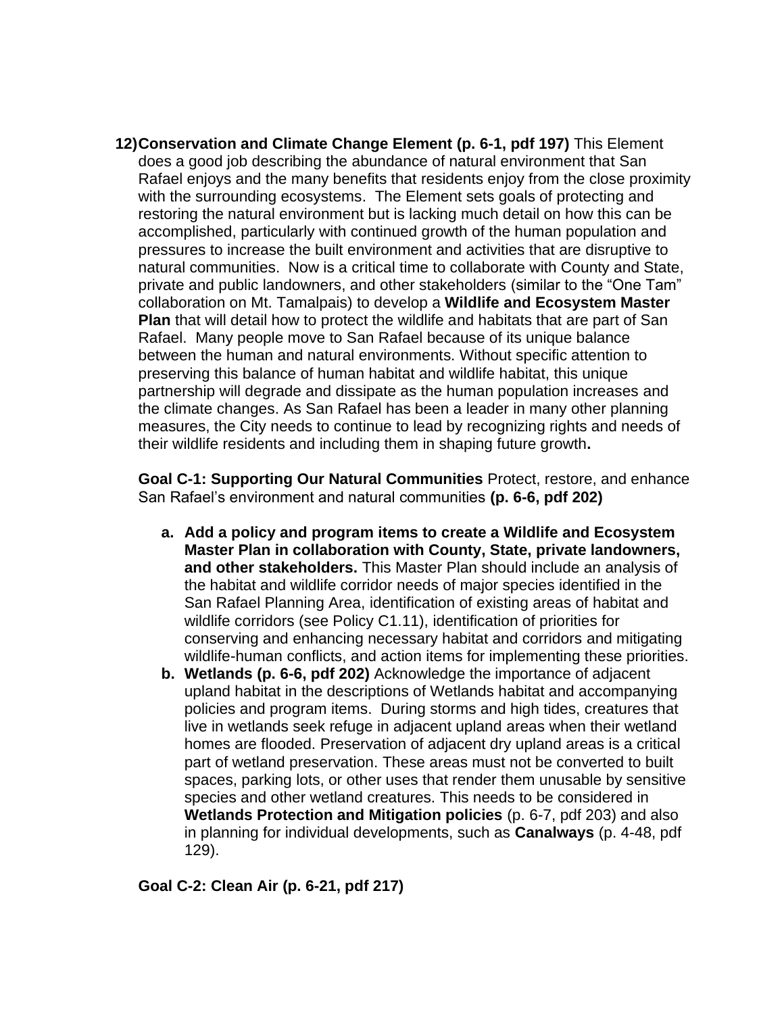**12)Conservation and Climate Change Element (p. 6-1, pdf 197)** This Element does a good job describing the abundance of natural environment that San Rafael enjoys and the many benefits that residents enjoy from the close proximity with the surrounding ecosystems. The Element sets goals of protecting and restoring the natural environment but is lacking much detail on how this can be accomplished, particularly with continued growth of the human population and pressures to increase the built environment and activities that are disruptive to natural communities. Now is a critical time to collaborate with County and State, private and public landowners, and other stakeholders (similar to the "One Tam" collaboration on Mt. Tamalpais) to develop a **Wildlife and Ecosystem Master Plan** that will detail how to protect the wildlife and habitats that are part of San Rafael.Many people move to San Rafael because of its unique balance between the human and natural environments. Without specific attention to preserving this balance of human habitat and wildlife habitat, this unique partnership will degrade and dissipate as the human population increases and the climate changes. As San Rafael has been a leader in many other planning measures, the City needs to continue to lead by recognizing rights and needs of their wildlife residents and including them in shaping future growth**.**

**Goal C-1: Supporting Our Natural Communities** Protect, restore, and enhance San Rafael's environment and natural communities **(p. 6-6, pdf 202)**

- **a. Add a policy and program items to create a Wildlife and Ecosystem Master Plan in collaboration with County, State, private landowners, and other stakeholders.** This Master Plan should include an analysis of the habitat and wildlife corridor needs of major species identified in the San Rafael Planning Area, identification of existing areas of habitat and wildlife corridors (see Policy C1.11), identification of priorities for conserving and enhancing necessary habitat and corridors and mitigating wildlife-human conflicts, and action items for implementing these priorities.
- **b. Wetlands (p. 6-6, pdf 202)** Acknowledge the importance of adjacent upland habitat in the descriptions of Wetlands habitat and accompanying policies and program items. During storms and high tides, creatures that live in wetlands seek refuge in adjacent upland areas when their wetland homes are flooded. Preservation of adjacent dry upland areas is a critical part of wetland preservation. These areas must not be converted to built spaces, parking lots, or other uses that render them unusable by sensitive species and other wetland creatures. This needs to be considered in **Wetlands Protection and Mitigation policies** (p. 6-7, pdf 203) and also in planning for individual developments, such as **Canalways** (p. 4-48, pdf 129).

### **Goal C-2: Clean Air (p. 6-21, pdf 217)**